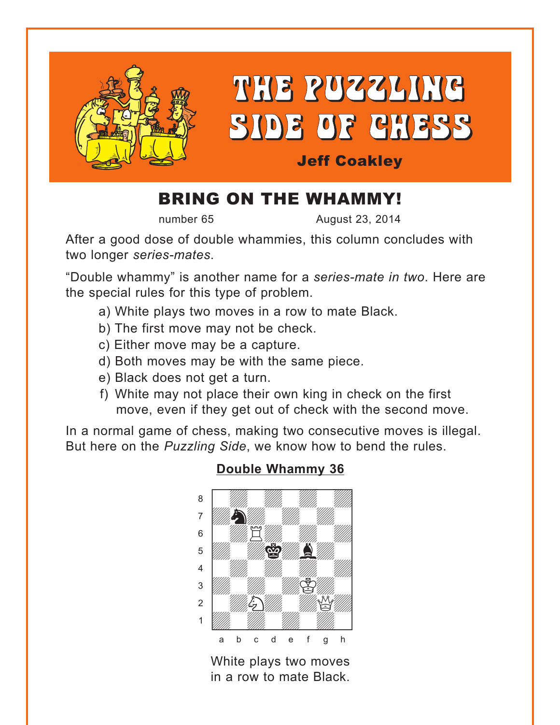<span id="page-0-0"></span>

# BRING ON THE WHAMMY!

number 65 August 23, 2014

After a good dose of double whammies, this column concludes with two longer *series-mates*.

"Double whammy" is another name for a *series-mate in two*. Here are the special rules for this type of problem.

- a) White plays two moves in a row to mate Black.
- b) The first move may not be check.
- c) Either move may be a capture.
- d) Both moves may be with the same piece.
- e) Black does not get a turn.
- f) White may not place their own king in check on the first move, even if they get out of check with the second move.

In a normal game of chess, making two consecutive moves is illegal. But here on the *Puzzling Side*, we know how to bend the rules.



## **[Double Whammy 36](#page-7-0)**

White plays two moves in a row to mate Black.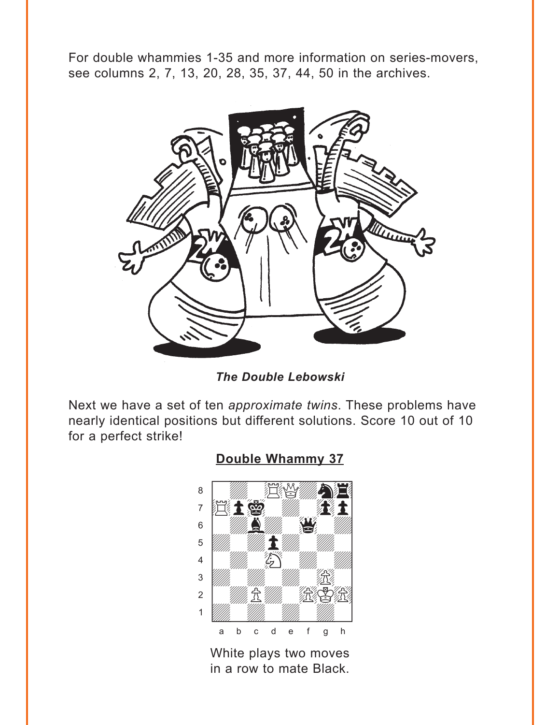<span id="page-1-0"></span>For double whammies 1-35 and more information on series-movers, see columns 2, 7, 13, 20, 28, 35, 37, 44, 50 in the archives.



*The Double Lebowski*

Next we have a set of ten *approximate twins*. These problems have nearly identical positions but different solutions. Score 10 out of 10 for a perfect strike!



White plays two moves in a row to mate Black.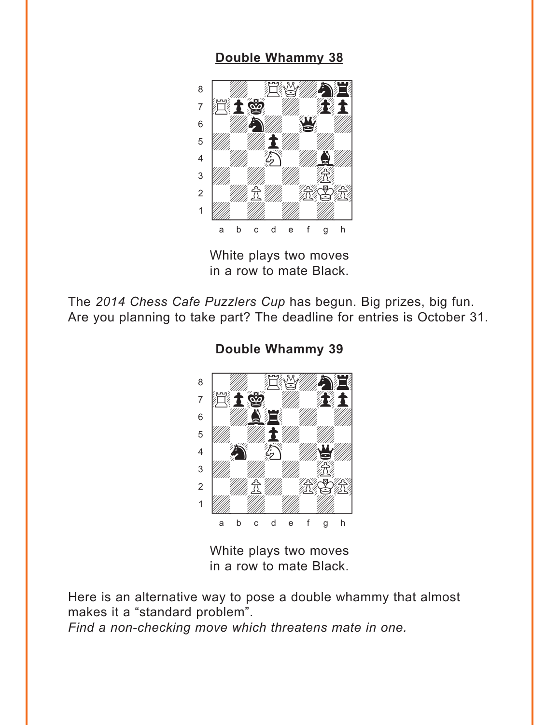<span id="page-2-0"></span>

White plays two moves in a row to mate Black.

The *2014 Chess Cafe Puzzlers Cup* has begun. Big prizes, big fun. Are you planning to take part? The deadline for entries is October 31.



**[Double Whammy 39](#page-8-0)**

White plays two moves in a row to mate Black.

Here is an alternative way to pose a double whammy that almost makes it a "standard problem".

*Find a non-checking move which threatens mate in one.*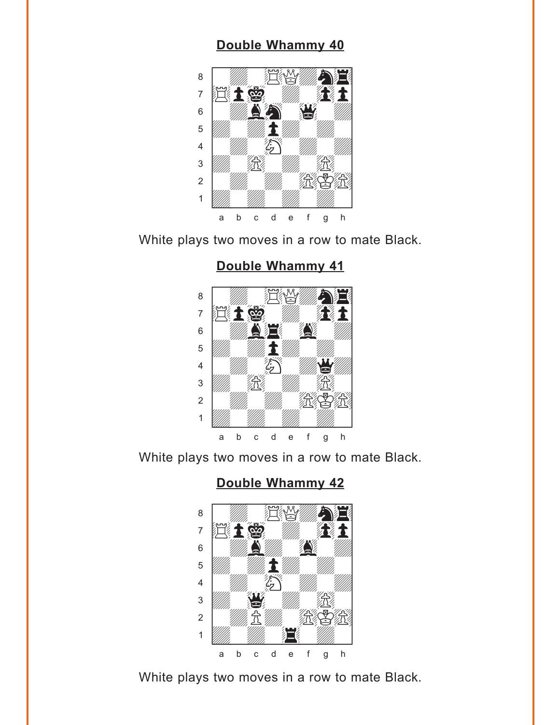<span id="page-3-0"></span>

White plays two moves in a row to mate Black.

## **[Double Whammy 41](#page-9-0)**



White plays two moves in a row to mate Black.

## **[Double Whammy 42](#page-10-0)**



White plays two moves in a row to mate Black.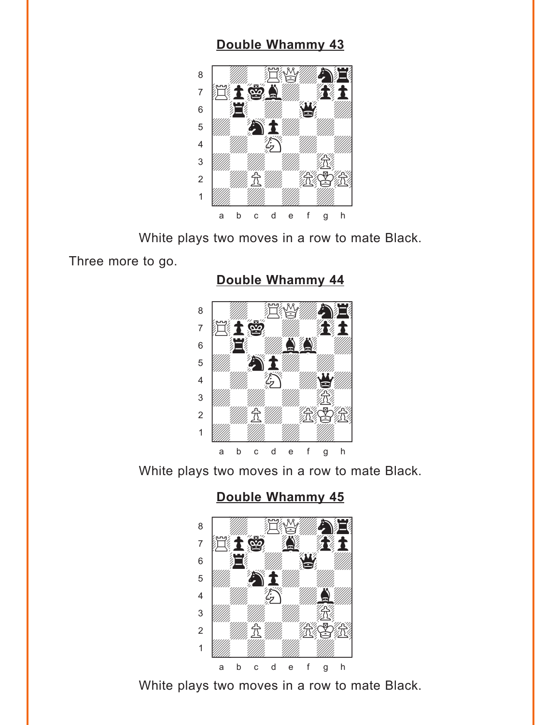<span id="page-4-0"></span>

White plays two moves in a row to mate Black.

Three more to go.

## **[Double Whammy 44](#page-11-0)**



White plays two moves in a row to mate Black.

**[Double Whammy 45](#page-11-0)**



White plays two moves in a row to mate Black.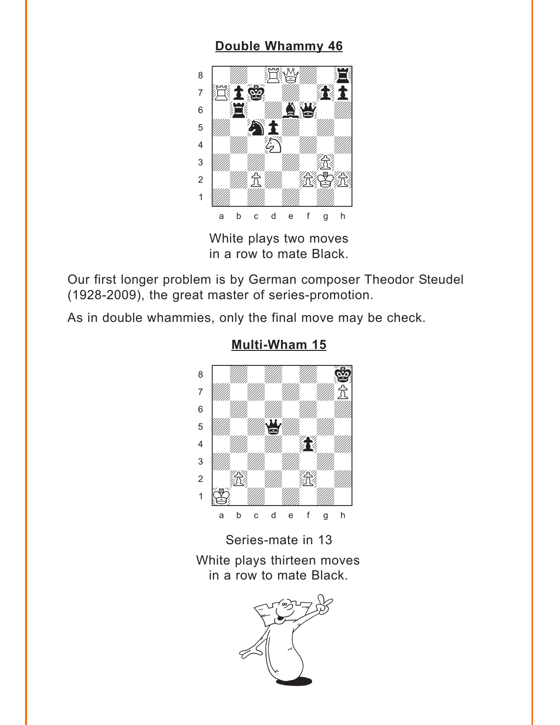<span id="page-5-0"></span>

White plays two moves in a row to mate Black.

Our first longer problem is by German composer Theodor Steudel (1928-2009), the great master of series-promotion.

As in double whammies, only the final move may be check.



## **[Multi-Wham 15](#page-13-0)**

Series-mate in 13 White plays thirteen moves in a row to mate Black.

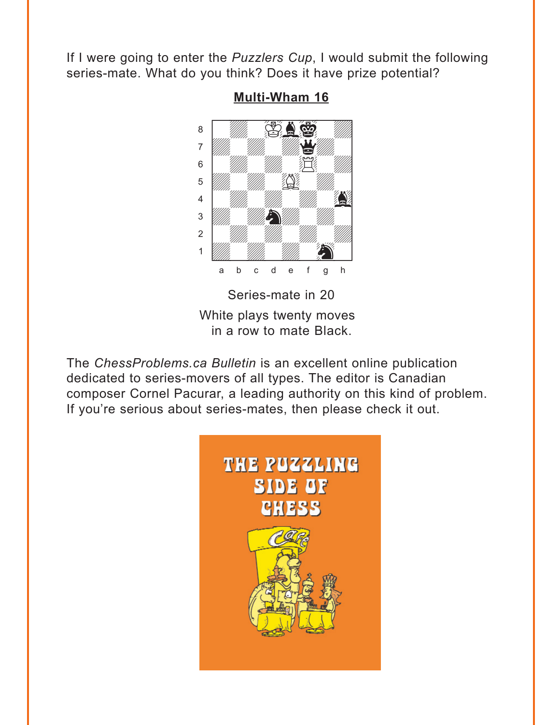<span id="page-6-0"></span>If I were going to enter the *Puzzlers Cup*, I would submit the following series-mate. What do you think? Does it have prize potential?



**[Multi-Wham 16](#page-14-0)**

White plays twenty moves in a row to mate Black.

The *ChessProblems.ca Bulletin* is an excellent online publication dedicated to series-movers of all types. The editor is Canadian composer Cornel Pacurar, a leading authority on this kind of problem. If you're serious about series-mates, then please check it out.

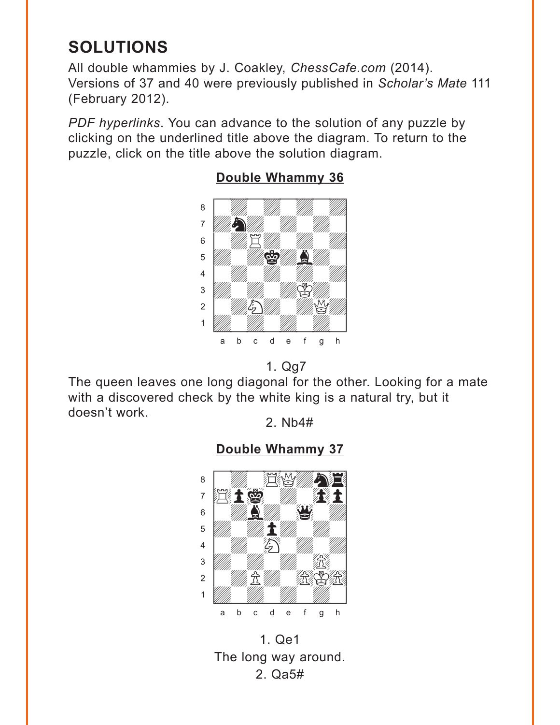# <span id="page-7-0"></span>**SOLUTIONS**

All double whammies by J. Coakley, *ChessCafe.com* (2014). Versions of 37 and 40 were previously published in *Scholar's Mate* 111 (February 2012).

*PDF hyperlinks*. You can advance to the solution of any puzzle by clicking on the underlined title above the diagram. To return to the puzzle, click on the title above the solution diagram.



## **[Double Whammy 36](#page-0-0)**



The queen leaves one long diagonal for the other. Looking for a mate with a discovered check by the white king is a natural try, but it doesn't work.

2. Nb4#



1. Qe1 The long way around. 2. Qa5#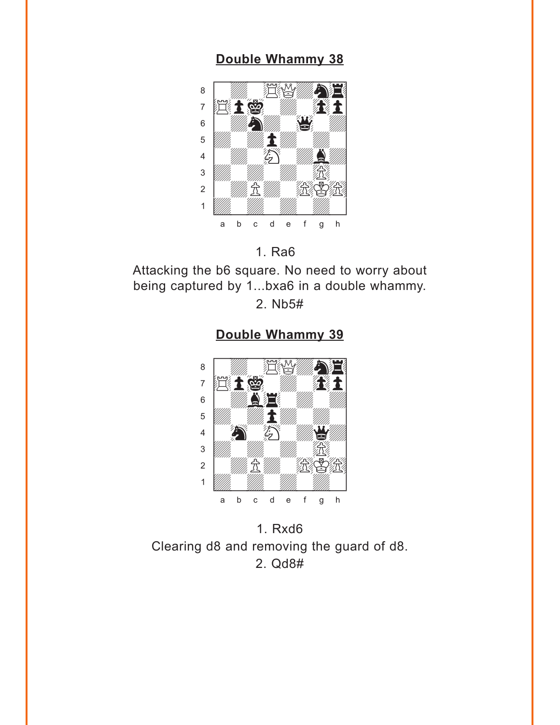<span id="page-8-0"></span>

#### 1. Ra6

Attacking the b6 square. No need to worry about being captured by 1...bxa6 in a double whammy.

2. Nb5#





1. Rxd6 Clearing d8 and removing the guard of d8. 2. Qd8#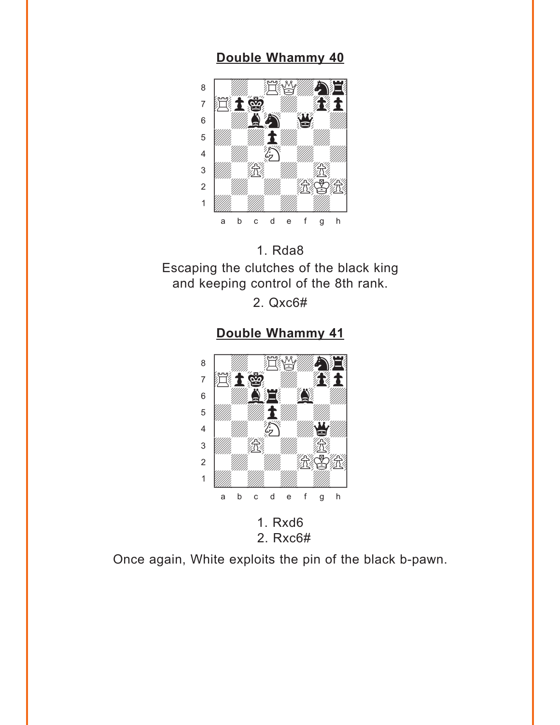<span id="page-9-0"></span>

## 1. Rda8

Escaping the clutches of the black king and keeping control of the 8th rank.

2. Qxc6#

#### **[Double Whammy 41](#page-3-0)**



2. Rxc6#

Once again, White exploits the pin of the black b-pawn.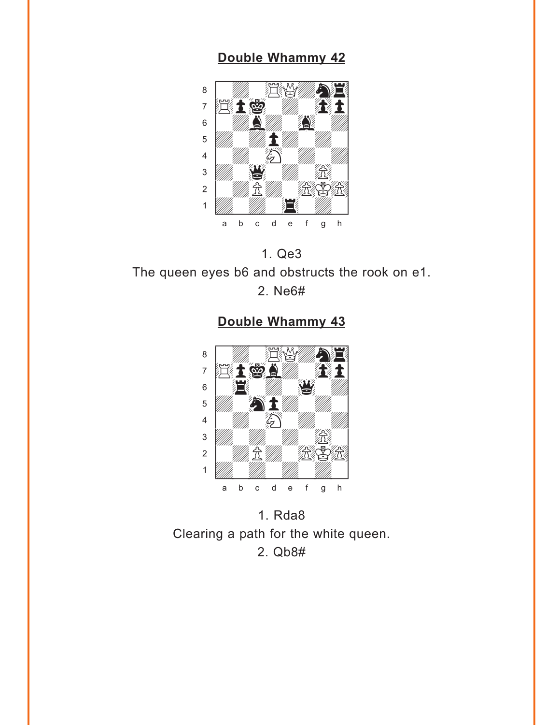<span id="page-10-0"></span>



**[Double Whammy 43](#page-4-0)**



1. Rda8 Clearing a path for the white queen. 2. Qb8#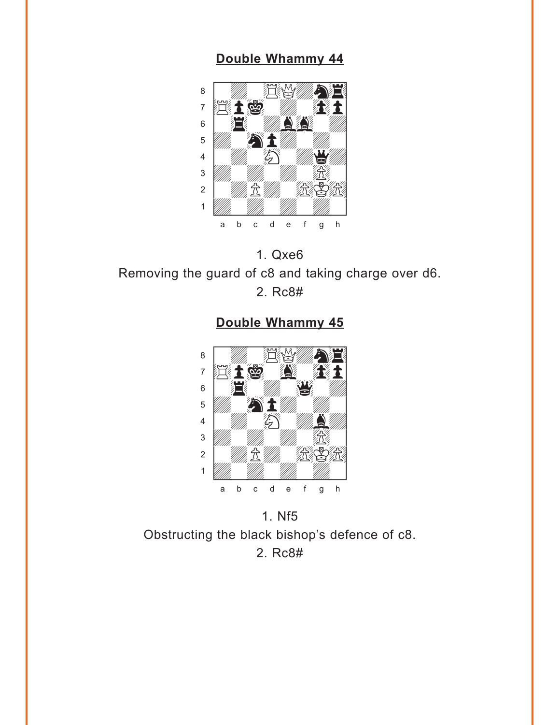<span id="page-11-0"></span>



**[Double Whammy 45](#page-4-0)**



1. Nf5 Obstructing the black bishop's defence of c8. 2. Rc8#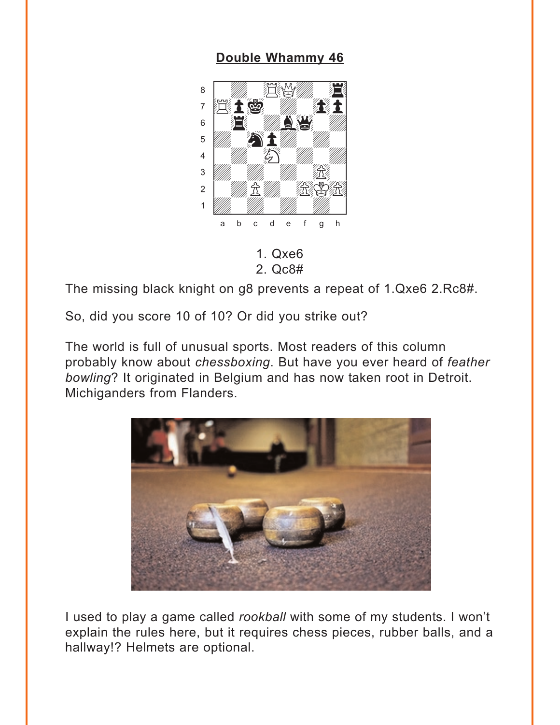<span id="page-12-0"></span>

1. Qxe6 2. Qc8#

The missing black knight on g8 prevents a repeat of 1.Qxe6 2.Rc8#.

So, did you score 10 of 10? Or did you strike out?

The world is full of unusual sports. Most readers of this column probably know about *chessboxing*. But have you ever heard of *feather bowling*? It originated in Belgium and has now taken root in Detroit. Michiganders from Flanders.



I used to play a game called *rookball* with some of my students. I won't explain the rules here, but it requires chess pieces, rubber balls, and a hallway!? Helmets are optional.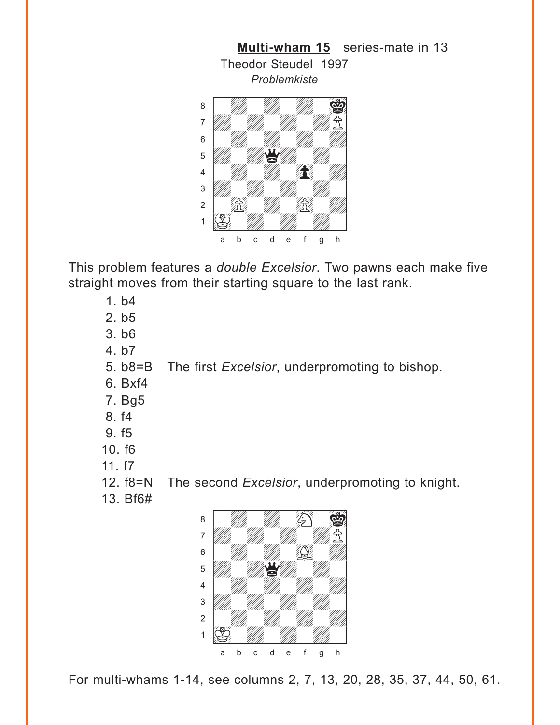<span id="page-13-0"></span>

This problem features a *double Excelsior*. Two pawns each make five straight moves from their starting square to the last rank.

- 1. b4
- 2. b5
- 3. b6
- 4. b7

5. b8=B The first *Excelsior*, underpromoting to bishop.

- 6. Bxf4
- 7. Bg5
- 8. f4
- 9. f5
- 10. f6
- 11. f7
- 12. f8=N The second *Excelsior*, underpromoting to knight.
- 13. Bf6#



For multi-whams 1-14, see columns 2, 7, 13, 20, 28, 35, 37, 44, 50, 61.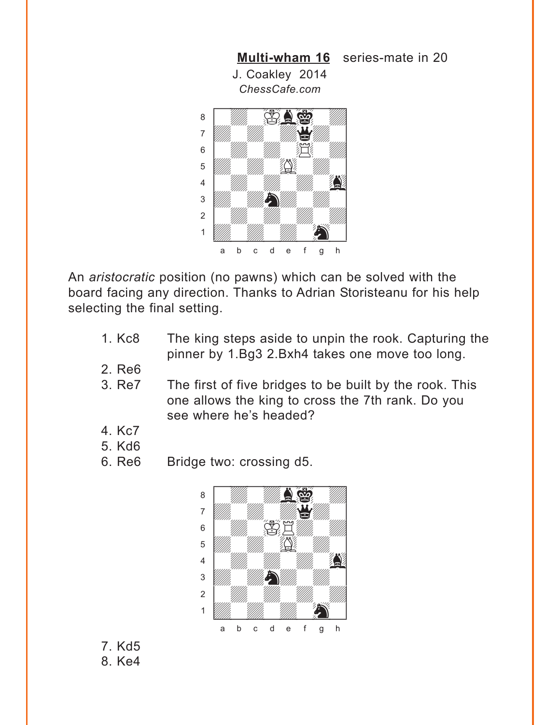<span id="page-14-0"></span>

An *aristocratic* position (no pawns) which can be solved with the board facing any direction. Thanks to Adrian Storisteanu for his help selecting the final setting.

- 1. Kc8 The king steps aside to unpin the rook. Capturing the pinner by 1.Bg3 2.Bxh4 takes one move too long.
- 2. Re6
- 3. Re7 The first of five bridges to be built by the rook. This one allows the king to cross the 7th rank. Do you see where he's headed?
- 4. Kc7
- 5. Kd6
- 6. Re6 Bridge two: crossing d5.



7. Kd5 8. Ke4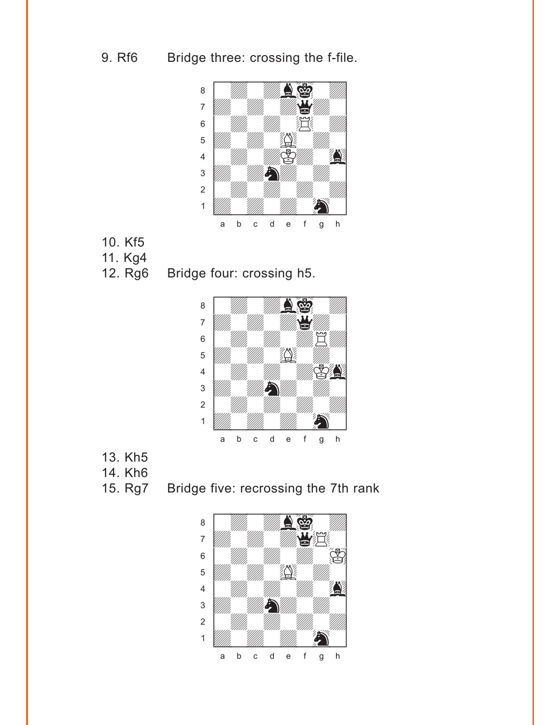9. Rf6 Bridge three: crossing the f-file.



- 10. Kf5
- 11. Kg4
- 12. Rg6 Bridge four: crossing h5.



- 13. Kh5
- 14. Kh6
- 

15. Rg7 Bridge five: recrossing the 7th rank